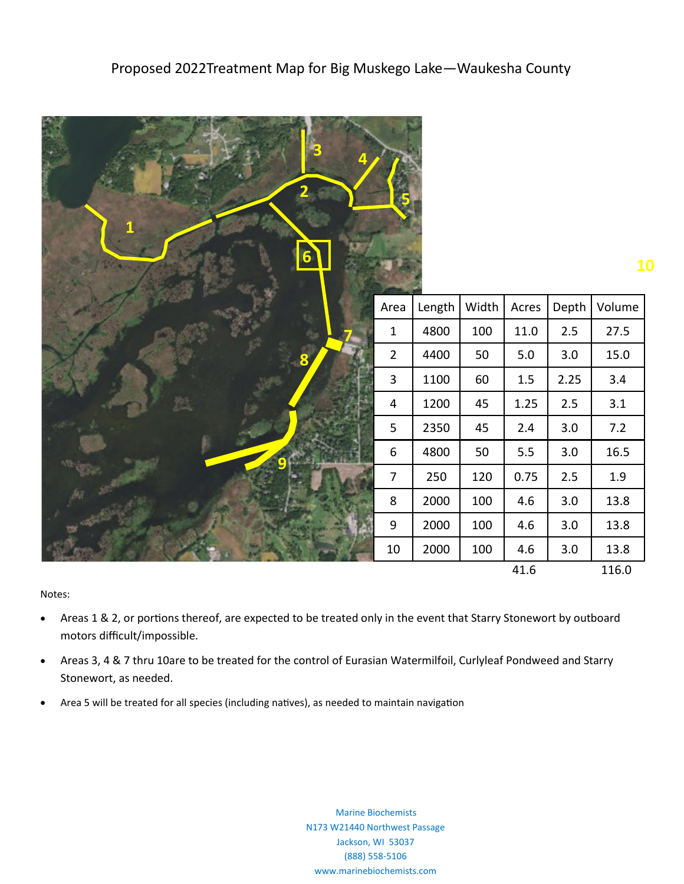| B<br>6       |                  |        |        |          |         | 10     |
|--------------|------------------|--------|--------|----------|---------|--------|
|              | Area             | Length | Width  | Acres    | Depth   | Volume |
|              | $\mathbf 1$      | 4800   | 100    | $11.0\,$ | 2.5     | 27.5   |
|              | $\overline{2}$   | 4400   | 50     | $5.0$    | 3.0     | 15.0   |
|              | 3                | 1100   | 60     | $1.5\,$  | 2.25    | 3.4    |
|              | $\overline{4}$   | 1200   | 45     | 1.25     | $2.5\,$ | 3.1    |
|              | 5                | 2350   | 45     | $2.4$    | 3.0     | $7.2$  |
| $\mathbf{O}$ | $\boldsymbol{6}$ | 4800   | $50\,$ | 5.5      | 3.0     | 16.5   |
|              | $\overline{7}$   | 250    | 120    | 0.75     | 2.5     | 1.9    |
|              | $\,8\,$          | 2000   | 100    | 4.6      | 3.0     | 13.8   |
|              | $9\,$            | 2000   | 100    | 4.6      | 3.0     | 13.8   |
|              | $10\,$           | 2000   | 100    | 4.6      | 3.0     | 13.8   |
|              |                  |        |        | 41.6     |         | 116.0  |

Notes:

- Areas 1 & 2, or portions thereof, are expected to be treated only in the event that Starry Stonewort by outboard motors difficult/impossible.
- Areas 3, 4 & 7 thru 10are to be treated for the control of Eurasian Watermilfoil, Curlyleaf Pondweed and Starry Stonewort, as needed.
- Area 5 will be treated for all species (including natives), as needed to maintain navigation

 Marine Biochemists N173 W21440 Northwest Passage Jackson, WI 53037 (888) 558-5106 www.marinebiochemists.com